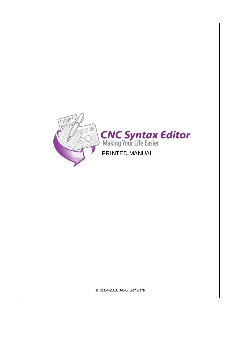

**CNC Syntax Editor**<br>Making Your Life Easier

PRINTED MANUAL

© 2004-2016 AGG Software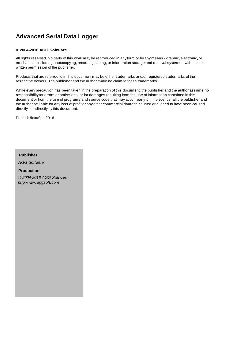#### **© 2004-2016 AGG Software**

All rights reserved. No parts of this work may be reproduced in any form or by any means - graphic, electronic, or mechanical, including photocopying, recording, taping, or information storage and retrieval systems - without the written permission of the publisher.

Products that are referred to in this document may be either trademarks and/or registered trademarks of the respective owners. The publisher and the author make no claim to these trademarks.

While every precaution has been taken in the preparation of this document, the publisher and the author assume no responsibility for errors or omissions, or for damages resulting from the use of information contained in this document or from the use of programs and source code that may accompany it. In no event shall the publisher and the author be liable for any loss of profit or any other commercial damage caused or alleged to have been caused directly or indirectly by this document.

Printed: 2016

**Publisher**

*AGG Software*

**Production**

*© 2004-2016 AGG Software http://www.aggsoft.com*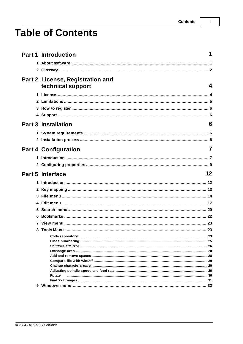$\overline{1}$ 

# **Table of Contents**

|   | <b>Part 1 Introduction</b>                                   |    |
|---|--------------------------------------------------------------|----|
|   |                                                              |    |
|   |                                                              |    |
|   |                                                              |    |
|   | <b>Part 2 License, Registration and</b><br>technical support | 4  |
|   |                                                              |    |
|   |                                                              |    |
|   |                                                              |    |
|   |                                                              |    |
|   |                                                              |    |
|   | <b>Part 3 Installation</b>                                   | 6  |
|   |                                                              |    |
|   |                                                              |    |
|   | <b>Part 4 Configuration</b>                                  | 7  |
|   |                                                              |    |
|   |                                                              |    |
|   |                                                              |    |
|   |                                                              |    |
|   | <b>Part 5 Interface</b>                                      | 12 |
|   |                                                              |    |
|   |                                                              |    |
| 3 |                                                              |    |
|   |                                                              |    |
|   |                                                              |    |
|   |                                                              |    |
|   |                                                              |    |
|   |                                                              |    |
|   |                                                              |    |
|   |                                                              |    |
|   |                                                              |    |
|   |                                                              |    |
|   |                                                              |    |
|   |                                                              |    |
|   |                                                              |    |
|   | Rotate                                                       |    |
|   |                                                              |    |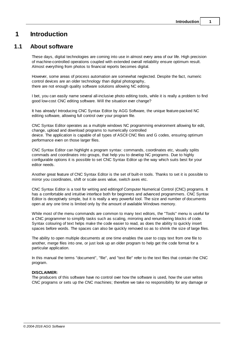## <span id="page-4-0"></span>**1 Introduction**

## **1.1 About software**

These days, digital technologies are coming into use in almost every area of our life. High precision of machine-controlled operations coupled with extended overall reliability ensure optimum result. Almost everything from photos to financial reports becomes digital.

However, some areas of process automation are somewhat neglected. Despite the fact, numeric control devices are an older technology than digital photography, there are not enough quality software solutions allowing NC editing.

I bet, you can easily name several all-inclusive photo editing tools, while it is really a problem to find good low-cost CNC editing software. Will the situation ever change?

It has already! Introducing CNC Syntax Editor by AGG Software, the unique feature-packed NC editing software, allowing full control over your program file.

CNC Syntax Editor operates as a multiple windows NC programming environment allowing for edit, change, upload and download programs to numerically controlled device. The application is capable of all types of ASCII CNC files and G codes, ensuring optimum performance even on those larger files.

CNC Syntax Editor can highlight a program syntax: commands, coordinates etc, visually splits commads and coordinates into groups, that help you to develop NC programs. Due to highly configurable options it is possible to set CNC Syntax Editor up the way which suits best for your editor needs.

Another great feature of CNC Syntax Editor is the set of built-in tools. Thanks to set it is possible to mirror you coordinates, shift or scale axes value, switch axes etc.

CNC Syntax Editor is a tool for writing and editingof Computer Numerical Control (CNC) programs. It has a comfortable and intuitive interface both for beginners and advanced programmers. CNC Syntax Editor is deceptively simple, but it is really a very powerful tool. The size and number of documents open at any one time is limited only by the amount of available Windows memory.

While most of the menu commands are common to many text editors, the "Tools" menu is useful for a CNC programmer to simplify tasks such as scaling, mirroring and renumbering blocks of code. Syntax colouring of text helps make the code easier to read, as does the ability to quickly insert spaces before words. The spaces can also be quickly removed so as to shrink the size of large files.

The ability to open multiple documents at one time enables the user to copy text from one file to another, merge files into one, or just look up an older program to help get the code format for a particular application.

In this manual the terms "document", "file", and "text file" refer to the text files that contain the CNC program.

#### **DISCLAIMER:**

The producers of this software have no control over how the software is used, how the user writes CNC programs or sets up the CNC machines; therefore we take no responsibility for any damage or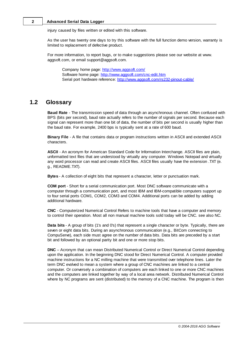injury caused by files written or edited with this software.

As the user has twenty one days to try this software with the full function demo version, warranty is limited to replacement of defective product.

For more information, to report bugs, or to make suggestions please see our website at www. aggsoft.com, or email support@aggsoft.com.

Company home page: <http://www.aggsoft.com/> Software home page: [http://www.aggsoft.com/cnc-edit.htm](http://www.aggsoft.com/dnc-precision.htm) Serial port hardware reference: <http://www.aggsoft.com/rs232-pinout-cable/>

## <span id="page-5-0"></span>**1.2 Glossary**

**Baud Rate** - The transmission speed of data through an asynchronous channel. Often confused with BPS (bits per second), baud rate actually refers to the number of signals per second. Because each signal can represent more than one bit of data, the number of bits per second is usually higher than the baud rate. For example, 2400 bps is typically sent at a rate of 600 baud.

**Binary File** - A file that contains data or program instructions written in ASCII and extended ASCII characters.

**ASCII** - An acronym for American Standard Code for Information Interchange. ASCII files are plain, unformatted text files that are understood by virtually any computer. Windows Notepad and virtually any word processor can read and create ASCII files. ASCII files usually have the extension .TXT (e. g., README.TXT).

**Bytes** - A collection of eight bits that represent a character, letter or punctuation mark.

**COM port** - Short for a serial communication port. Most DNC software communicate with a computer through a communication port, and most IBM and IBM-compatible computers support up to four serial ports COM1, COM2, COM3 and COM4. Additional ports can be added by adding additional hardware.

**CNC** - Computerized Numerical Control Refers to machine tools that have a computer and memory to control their operation. Most all non manual machine tools sold today will be CNC. see also NC.

**Data bits** - A group of bits (1's and 0's) that represent a single character or byte. Typically, there are seven or eight data bits. During an asynchronous communication (e.g., BitCom connecting to CompuServe), each side must agree on the number of data bits. Data bits are preceded by a start bit and followed by an optional parity bit and one or more stop bits.

**DNC** – Acronym that can mean Distributed Numerical Control or Direct Numerical Control depending upon the application. In the beginning DNC stood for Direct Numerical Control. A computer provided machine instructions for a NC milling machine that were transmitted over telephone lines. Later the term DNC evolved to mean a system where a group of CNC machines are linked to a central computer. Or conversely a combination of computers are each linked to one or more CNC machines and the computers are linked together by way of a local area network. Distributed Numerical Control where by NC programs are sent (distributed) to the memory of a CNC machine. The program is then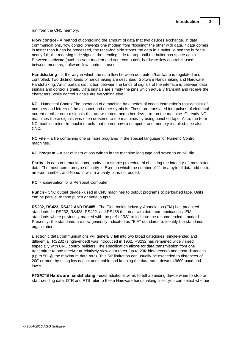run from the CNC memory.

**Flow control** - A method of controlling the amount of data that two devices exchange. In data communications, flow control prevents one modem from "flooding" the other with data. If data comes in faster than it can be processed, the receiving side stores the data in a buffer. When the buffer is nearly full, the receiving side signals the sending side to stop until the buffer has space again. Between hardware (such as your modem and your computer), hardware flow control is used; between modems, software flow control is used.

**Handshaking** - Is the way in which the data flow between computers/hardware is regulated and controlled. Two distinct kinds of handshaking are described: Software Handshaking and Hardware Handshaking. An important distinction between the kinds of signals of the interface is between data signals and control signals. Data signals are simply the pins which actually transmit and receive the characters, while control signals are everything else.

**NC** - Numerical Control The operation of a machine by a series of coded instruction's that consist of numbers and letters of the alphabet and other symbols. These are translated into pulses of electrical current or other output signals that active motors and other device to run the machine. On early NC machines these signals was often delivered to the machines by using punched tape. Also, the term NC machine refers to machine tools that do not have a computer and memory installed. see also CNC.

**NC File** – a file containing one or more programs in the special language for Numeric Control machines.

**NC Program** – a set of instructions written in the machine language and saved to an NC file.

**Parity** - In data communications, parity is a simple procedure of checking the integrity of transmitted data. The most common type of parity is Even, in which the number of 1's in a byte of data add up to an even number, and None, in which a parity bit is not added.

**PC** - abbreviation for a Personal Computer.

**Punch** - CNC output device - used in CNC machines to output programs to perforated tape. Units can be parallel to tape punch or serial output.

**RS232, RS423, RS422 AND RS485** - The Electronics Industry Association (EIA) has produced standards for RS232, RS423, RS422, and RS485 that deal with data communications. EIA standards where previously marked with the prefix "RS" to indicate the recommended standard. Presently, the standards are now generally indicated as "EIA" standards to identify the standards organization.

Electronic data communications will generally fall into two broad categories: single-ended and differential. RS232 (single-ended) was introduced in 1962. RS232 has remained widely used, especially with CNC control builders. The specification allows for data transmission from one transmitter to one receiver at relatively slow data rates (up to 20K bits/second) and short distances (up to 50' @ the maximum data rate). This 50' limitation can usually be exceeded to distances of 200' or more by using low capacitance cable and keeping the data rates down to 9600 baud and lower.

**RTS/CTS Hardware handshaking** - uses additional wires to tell a sending device when to stop or start sending data. DTR and RTS refer to these Hardware handshaking lines. you can select whether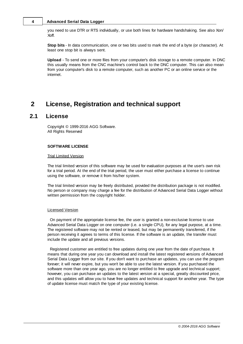you need to use DTR or RTS individually, or use both lines for hardware handshaking. See also Xon/ Xoff.

**Stop bits** - In data communication, one or two bits used to mark the end of a byte (or character). At least one stop bit is always sent.

**Upload** - To send one or more files from your computer's disk storage to a remote computer. In DNC this usually means from the CNC machine's control back to the DNC computer. This can also mean from your computer's disk to a remote computer, such as another PC or an online service or the internet.

## <span id="page-7-0"></span>**2 License, Registration and technical support**

## **2.1 License**

Copyright © 1999-2016 AGG Software. All Rights Reserved

#### **SOFTWARE LICENSE**

#### Trial Limited Version

The trial limited version of this software may be used for evaluation purposes at the user's own risk for a trial period. At the end of the trial period, the user must either purchase a license to continue using the software, or remove it from his/her system.

The trial limited version may be freely distributed, provided the distribution package is not modified. No person or company may charge a fee for the distribution of Advanced Serial Data Logger without written permission from the copyright holder.

#### Licensed Version

On payment of the appropriate license fee, the user is granted a non-exclusive license to use Advanced Serial Data Logger on one computer (i.e. a single CPU), for any legal purpose, at a time. The registered software may not be rented or leased, but may be permanently transferred, if the person receiving it agrees to terms of this license. If the software is an update, the transfer must include the update and all previous versions.

Registered customer are entitled to free updates during one year from the date of purchase. It means that during one year you can download and install the latest registered versions of Advanced Serial Data Logger from our site. If you don't want to purchase an updates, you can use the program forever; it will never expire, but you won't be able to use the latest version. If you purchased the software more than one year ago, you are no longer entitled to free upgrade and technical support; however, you can purchase an updates to the latest version at a special, greatly discounted price, and this updates will allow you to have free updates and technical support for another year. The type of update license must match the type of your existing license.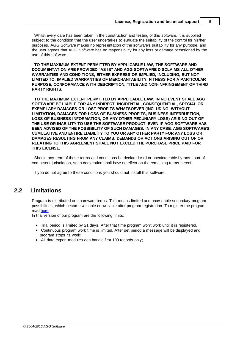Whilst every care has been taken in the construction and testing of this software, it is supplied subject to the condition that the user undertakes to evaluate the suitability of the control for his/her purposes. AGG Software makes no representation of the software's suitability for any purpose, and the user agrees that AGG Software has no responsibility for any loss or damage occasioned by the use of this software.

**TO THE MAXIMUM EXTENT PERMITTED BY APPLICABLE LAW, THE SOFTWARE AND DOCUMENTATION ARE PROVIDED "AS IS" AND AGG SOFTWARE DISCLAIMS ALL OTHER WARRANTIES AND CONDITIONS, EITHER EXPRESS OR IMPLIED, INCLUDING, BUT NOT LIMITED TO, IMPLIED WARRANTIES OF MERCHANTABILITY, FITNESS FOR A PARTICULAR PURPOSE, CONFORMANCE WITH DESCRIPTION, TITLE AND NON-INFRINGEMENT OF THIRD PARTY RIGHTS.**

**TO THE MAXIMUM EXTENT PERMITTED BY APPLICABLE LAW, IN NO EVENT SHALL AGG SOFTWARE BE LIABLE FOR ANY INDIRECT, INCIDENTAL, CONSEQUENTIAL, SPECIAL OR EXEMPLARY DAMAGES OR LOST PROFITS WHATSOEVER (INCLUDING, WITHOUT LIMITATION, DAMAGES FOR LOSS OF BUSINESS PROFITS, BUSINESS INTERRUPTION, LOSS OF BUSINESS INFORMATION, OR ANY OTHER PECUNIARY LOSS) ARISING OUT OF THE USE OR INABILITY TO USE THE SOFTWARE PRODUCT, EVEN IF AGG SOFTWARE HAS BEEN ADVISED OF THE POSSIBILITY OF SUCH DAMAGES. IN ANY CASE, AGG SOFTWARE'S CUMULATIVE AND ENTIRE LIABILITY TO YOU OR ANY OTHER PARTY FOR ANY LOSS OR DAMAGES RESULTING FROM ANY CLAIMS, DEMANDS OR ACTIONS ARISING OUT OF OR RELATING TO THIS AGREEMENT SHALL NOT EXCEED THE PURCHASE PRICE PAID FOR THIS LICENSE.**

Should any term of these terms and conditions be declared void or unenforceable by any court of competent jurisdiction, such declaration shall have no effect on the remaining terms hereof.

If you do not agree to these conditions you should not install this software.

## <span id="page-8-0"></span>**2.2 Limitations**

Program is distributed on shareware terms. This means limited and unavailable secondary program possibilities, which become valuable or available after program registration. To register the program read [here.](#page-9-0)

In trial version of our program are the following limits:

- Trial period is limited by 21 days. After that time program won't work until it is registered.
- Continuous program work time is limited. After set period a message will be displayed and program stops its work;
- All data export modules can handle first 100 records only;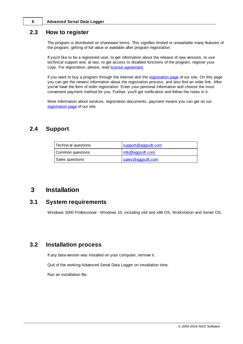## <span id="page-9-0"></span>**2.3 How to register**

The program is distributed on shareware terms. This signifies limited or unavailable many features of the program, getting of full value or available after program registration.

If you'd like to be a registered user, to get information about the release of new versions, to use technical support and, at last, to get access to disabled functions of the program, register your copy. For registration, please, read license [agreement](#page-7-0).

If you want to buy a program through the Internet visit the [registration](http://www.aggsoft.com/order/) page of our site. On this page you can get the newest information about the registration process, and also find an order link. After you've have the form of order registration. Enter your personal information and choose the most convenient payment method for you. Further, you'll get notification and follow the notes in it.

More information about services, registration documents, payment means you can get on our [registration](http://www.aggsoft.com/order/) page of our site.

## <span id="page-9-1"></span>**2.4 Support**

| Technical questions | support@aggsoft.com |
|---------------------|---------------------|
| Common questions    | info@aggsoft.com    |
| Sales questions     | sales@aggsoft.com   |

## <span id="page-9-2"></span>**3 Installation**

## **3.1 System requirements**

Windows 2000 Professional - Windows 10, including x64 and x86 OS, Workstation and Server OS.

## <span id="page-9-3"></span>**3.2 Installation process**

If any beta-version was installed on your computer, remove it.

Quit of the working Advanced Serial Data Logger on installation time.

Run an installation file.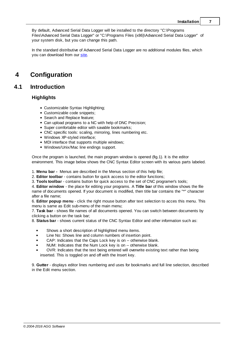By default, Advanced Serial Data Logger will be installed to the directory "C:\Programs Files\Advanced Serial Data Logger" or "C:\Programs Files (x86)\Advanced Serial Data Logger" of your system disk, but you can change this path.

In the standard distributive of Advanced Serial Data Logger are no additional modules files, which you can download from our [site](http://www.aggsoft.com/).

## <span id="page-10-0"></span>**4 Configuration**

## **4.1 Introduction**

### **Highlights**

- Customizable Syntax Highlighting;
- Customizable code snippets;
- Search and Replace feature;
- Can upload programs to a NC with help of DNC Precision;
- Super comfortable editor with savable bookmarks;
- CNC specific tools: scaling, mirroring, lines numbering etc.
- Windows XP-styled interface;
- MDI interface that supports multiple windows;
- Windows/Unix/Mac line endings support.

Once the program is launched, the main program window is opened (fig.1). It is the editor environment. This image below shows the CNC Syntax Editor screen with its various parts labeled.

1. **Menu bar -** Menus are described in the Menus section of this help file;

2. **Editor toolbar** - contains button for quick access to the editor functions;

3. **Tools toolbar** - contains button for quick access to the set of CNC programer's tools;

4. **Editor window** - the place for editing your programs. A **Title bar** of this window shows the file name of documents opened. If your document is modified, then title bar contains the "\*" character after a file name;

6. **Editor popup menu** - lick the right mouse button after text selection to acces this menu. This menu is same as Edit sub-menu of the main menu;

7. **Task bar** - shows file names of all documents opened. You can switch between documents by clicking a button on the task bar;

8. **Status bar** - shows current status of the CNC Syntax Editor and other information such as:

- Shows a short description of highlighted menu items.
- Line No: Shows line and column numbers of insertion point.
- CAP: Indicates that the Caps Lock key is on -- otherwise blank.
- NUM: Indicates that the Num Lock key is on -- otherwise blank.
- OVR: Indicates that the text being entered will overwrite existing text rather than being inserted. This is toggled on and off with the Insert key.

9. **Gutter** - displays editor lines numbering and uses for bookmarks and full line selection, described in the Edit menu section.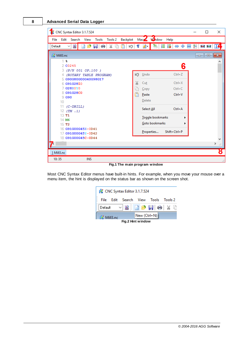| CNC Syntax Editor 3.1.7.524                                    |   |                  |              |       | □               | ×            |
|----------------------------------------------------------------|---|------------------|--------------|-------|-----------------|--------------|
| Backplot<br>Edit<br>Search<br>Tools<br>Tools 2<br>File<br>View |   | Macy Wordow Help |              |       |                 |              |
| 림<br>¥<br>Default<br>り<br>رني<br>г<br>$\checkmark$             | ¶ | 碧•               | 目録◆          | ◆ 噩 塾 | <b>H+C D++C</b> |              |
| 2 Mill3.nc                                                     |   |                  |              |       | <u>a   0</u>    | $\mathbf{x}$ |
| 1 %<br>200245                                                  |   |                  |              | 6     |                 | ۸            |
| 3 (P/N 001 OP.100 )                                            |   |                  |              |       |                 |              |
| 4 (ROTARY TABLE PROGRAM)                                       | ഥ | Undo             | $Ctrl + Z$   |       |                 |              |
| 5 G90G80G00G40G98G17<br>6 G91G28Z0                             | X | Cut              | $Ctrl+X$     |       |                 |              |
| 7 G28X0Y0                                                      |   | Copy             | $Ctrl + C$   |       |                 |              |
| 8 G91G28C0                                                     | B | Paste            | $Ctrl + V$   |       |                 |              |
| 9 <sub>0</sub>                                                 |   | Delete           |              |       |                 |              |
| 10<br>11                                                       |   |                  |              |       |                 |              |
| $(C-DRILL)$<br>(TM . 1)<br>12                                  |   | Select All       | $Ctrl + A$   |       |                 |              |
| 13 T <sub>1</sub>                                              |   | Toggle bookmarks |              |       |                 |              |
| 14 M <sub>6</sub>                                              |   | Goto bookmarks   |              |       |                 |              |
| 15T2<br>16 G91G00G45X-0D41                                     |   |                  |              |       |                 |              |
| 17 G91G00G45Y-0D42                                             |   | Properties       | Shift+Ctrl+P |       |                 |              |
| 18 G91G00G45C-0D44                                             |   |                  |              |       |                 | ٧            |
|                                                                |   |                  |              |       |                 | $\,$<br>d.   |
|                                                                |   |                  |              |       |                 |              |
| $1$ Mill3.nc                                                   |   |                  |              |       |                 | 8            |
| 10:35<br><b>INS</b>                                            |   |                  |              |       |                 | иđ.          |

**Fig.1 The main program window**

Most CNC Syntax Editor menus have built-in hints. For example, when you move your mouse over a menu item, the hint is displayed on the status bar as shown on the screen shot.

| CNC Syntax Editor 3.1.7.524         |  |  |  |  |  |  |
|-------------------------------------|--|--|--|--|--|--|
| File Edit Search View Tools Tools 2 |  |  |  |  |  |  |
| E<br>Default ~ BID P F + + X +      |  |  |  |  |  |  |
| $New (Ctrl + N)$<br>2 Mill3.nc      |  |  |  |  |  |  |
| Fig.2 Hint window                   |  |  |  |  |  |  |

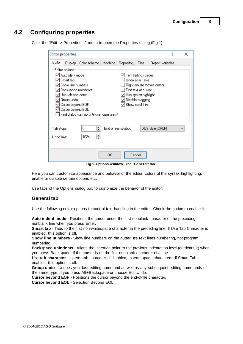## <span id="page-12-0"></span>**4.2 Configuring properties**

| <b>Editor properties</b>                                                                    |                                                                                                                                                   |                                                                    |         |                               |                                                                                                                                | ?                        | × |
|---------------------------------------------------------------------------------------------|---------------------------------------------------------------------------------------------------------------------------------------------------|--------------------------------------------------------------------|---------|-------------------------------|--------------------------------------------------------------------------------------------------------------------------------|--------------------------|---|
| Editor                                                                                      | Display                                                                                                                                           | Color scheme                                                       | Machine | <b>Repository</b>             | Files                                                                                                                          | Report variables         |   |
|                                                                                             | Editor options:<br>Auto ident mode<br>Smart tab<br>Show line numbers<br>Use tab character<br>Group undo<br>Cursor beyond EOF<br>Cursor beyond EOL | Backspace unindents<br>Find dialog stay up until user dismisses it |         |                               | Trim trailing spaces<br>Undo after save<br>Find text at cursor<br>Use syntax highlight<br>Disable dragging<br>Show scroll hint | Right mouse moves cursor |   |
| ≑<br>8<br>DOS style (CRLF)<br>End of line symbol:<br>Tab stops:<br>싂<br>1024<br>Undo limit: |                                                                                                                                                   |                                                                    |         |                               |                                                                                                                                |                          |   |
|                                                                                             |                                                                                                                                                   | <b>PERSONAL PROPERTY</b>                                           | OΚ      | Cancel<br>ŦТ.<br>$\mathbf{H}$ |                                                                                                                                | $10.4 - 1.$              |   |

Click the "Edit -> Properties..." menu to open the Properties dialog (Fig.1)

**Fig.1. Options window. The "General" tab**

Here you can customize appearance and behavior or the editor, colors of the syntax highlighting, enable or disable certain options etc.

Use tabs of the Options dialog box to customize the behavior of the editor.

#### **General tab**

Use the following editor options to control text handling in the editor. Check the option to enable it.

**Auto indent mode** - Positions the cursor under the first nonblank character of the preceding nonblank line when you press Enter.

**Smart tab** - Tabs to the first non-whitespace character in the preceding line. If Use Tab Character is enabled, this option is off.

**Show line numbers** - Show line numbers on the gutter. It's text lines numbering, not program numbering.

**Backspace unindents** - Aligns the insertion point to the previous indentation level (outdents it) when you press Backspace, if the cursor is on the first nonblank character of a line.

**Use tab character** - Inserts tab character. If disabled, inserts space characters. If Smart Tab is enabled, this option is off.

**Group undo** - Undoes your last editing command as well as any subsequent editing commands of the same type, if you press Alt+Backspace or choose Edit|Undo.

**Cursor beyond EOF** - Positions the cursor beyond the end-of-file character.

**Cursor beyond EOL** - Selection Beyond EOL.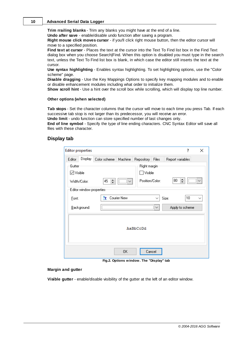**Trim rrailing blanks** - Trim any blanks you might have at the end of a line.

**Undo after save** - enable/disable undo function after saving a program.

**Right mouse click moves cursor** - if you'll click right mouse button, then the editor cursor will move to a specified position.

**Find text at cursor** - Places the text at the cursor into the Text To Find list box in the Find Text dialog box when you choose Search|Find. When this option is disabled you must type in the search text, unless the Text To Find list box is blank, in which case the editor still inserts the text at the cursor.

**Use syntax highlighting** - Enables syntax highlighting. To set highlighting options, use the "Color scheme" page.

**Disable dragging** - Use the Key Mappings Options to specify key mapping modules and to enable or disable enhancement modules including what order to initialize them.

**Show scroll hint** - Use a hint over the scroll box while scrolling, which will display top line number.

#### **Other options (when selected)**

**Tab stops** - Set the character columns that the cursor will move to each time you press Tab. If each successive tab stop is not larger than its predecessor, you will receive an error.

**Undo limit** - undo function can store specified number of last changes only.

**End of line symbol** - Specify the type of line ending characters. CNC Syntax Editor will save all files with these character.

#### **Display tab**

| <b>Editor properties</b> |                           |              |             |                 |              | ?                | ×            |
|--------------------------|---------------------------|--------------|-------------|-----------------|--------------|------------------|--------------|
| Editor                   | Display                   | Color scheme | Machine     | Repository      | Files        | Report variables |              |
| Gutter                   |                           |              |             | Right margin-   |              |                  |              |
| $\boxdot$ Visible        |                           |              |             | $\Box$ Visible  |              |                  |              |
|                          | Width/Color:              | H<br>45      |             | Position/Color: |              | H<br>80          |              |
|                          | Editor window properties: |              |             |                 |              |                  |              |
| Font:                    |                           | ĿТ           | Courier New |                 | $\checkmark$ | 10<br>Size:      | $\checkmark$ |
|                          | Background:               |              |             |                 | $\checkmark$ | Apply to scheme  |              |
| AaBbCcDd                 |                           |              |             |                 |              |                  |              |
|                          |                           |              | 0K          | Cancel          |              | .                |              |

**Fig.2. Options window. The "Display" tab**

#### **Margin and gutter**

Visible gutter - enable/disable visibility of the gutter at the left of an editor window.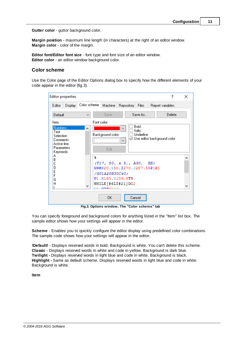**Gutter color** - guttor background color.

**Margin position** - maximum line length (in characters) at the right of an editor window. **Margin color** - color of the margin.

**Editor font/Editor font size** - font type and font size of an editor window. **Editor color** - an editor window background color.

#### **Color scheme**

Use the Color page of the Editor Options dialog box to specify how the different elements of your code appear in the editor (fig.3).

| <b>Editor properties</b>                                                                          |                          |                                                         |                                                                               |                             | 7                                       | ×                 |
|---------------------------------------------------------------------------------------------------|--------------------------|---------------------------------------------------------|-------------------------------------------------------------------------------|-----------------------------|-----------------------------------------|-------------------|
| Display<br>Editor                                                                                 | Color scheme             | Machine                                                 | Repository                                                                    | Files                       | Report variables                        |                   |
| Default                                                                                           | $\checkmark$             | Save                                                    |                                                                               | Save As                     | Delete                                  |                   |
| Item:<br><b>Numbers</b><br>Text<br>Selection<br>Comments<br>Active line<br>Parameters<br>Keywords | л                        | Font color:<br>Background color:<br>Edit                | $\checkmark$<br>$\checkmark$                                                  | Bold<br>Italic<br>Underline | $\boxtimes$ Use editor background color |                   |
| А<br>В<br>C<br>D<br>E<br>F<br>G<br>H                                                              | 头<br>$\mathbf{v}$<br>文字书 | /G01A20B30C40;<br>U1 X190.Y133.5T5<br><b>CURRENT CA</b> | (T17, 50. x 5., A90. RE)<br>G98X20.Y50.I270.J287.54P1R1<br>WHILE [#6LT#21]DO2 |                             |                                         | ^<br>$\checkmark$ |
|                                                                                                   |                          | 0K.                                                     |                                                                               | Cancel                      |                                         |                   |

**Fig.3. Options window. The "Color scheme" tab**

You can specify foreground and background colors for anything listed in the "Item" list box. The sample editor shows how your settings will appear in the editor.

**Scheme** - Enables you to quickly configure the editor display using predefined color combinations. The sample code shows how your settings will appear in the editor.

**!Default!** - Displays reserved words in bold. Background is white. You can't delete this scheme. **Classic** - Displays reserved words in white and code in yellow. Background is dark blue. **Twilight -** Displays reserved words in light blue and code in white. Background is black. **Highlight -** Same as default scheme. Displays reserved words in light blue and code in white. Background is white.

**Item**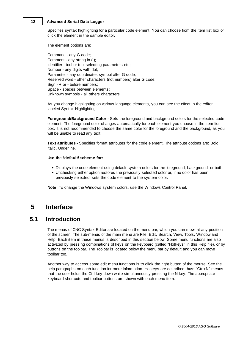Specifies syntax highlighting for a particular code element. You can choose from the Item list box or click the element in the sample editor.

The element options are:

Command - any G code; Comment - any string in ( ); Identifier - tool or tool selecting parameters etc; Number - any digits with dot; Parameter - any coordinates symbol after G code; Reserved word - other characters (not numbers) after G code; Sign - + or - before numbers; Space - spaces between elements; Unknown symbols - all others characters

As you change highlighting on various language elements, you can see the effect in the editor labeled Syntax Highlighting.

**Foreground/Background Color** - Sets the foreground and background colors for the selected code element. The foreground color changes automatically for each element you choose in the Item list box. It is not recommended to choose the same color for the foreground and the background, as you will be unable to read any text.

**Text attributes -** Specifies format attributes for the code element. The attribute options are: Bold, Italic, Underline.

#### **Use the !default! scheme for:**

- Displays the code element using default system colors for the foreground, background, or both.
- Unchecking either option restores the previously selected color or, if no color has been previously selected, sets the code element to the system color.

**Note:** To change the Windows system colors, use the Windows Control Panel.

## <span id="page-15-0"></span>**5 Interface**

## **5.1 Introduction**

The menus of CNC Syntax Editor are located on the menu bar, which you can move at any position of the screen. The sub-menus of the main menu are File, Edit, Search, View, Tools, Window and Help. Each item in these menus is described in this section below. Some menu functions are also activated by pressing combinations of keys on the keyboard (called "Hotkeys" in this Help file), or by buttons on the toolbar. The Toolbar is located below the menu bar by default and you can move toolbar too.

Another way to access some edit menu functions is to click the right button of the mouse. See the help paragraphs on each function for more information. Hotkeys are described thus: "Ctrl+N" means that the user holds the Ctrl key down while simultaneously pressing the N key. The appropriate keyboard shortcuts and toolbar buttons are shown with each menu item.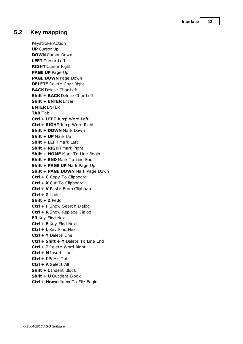| Interface |  |
|-----------|--|
|           |  |

## <span id="page-16-0"></span>**5.2 Key mapping**

Keystroke Action **UP** Cursor Up **DOWN** Cursor Down **LEFT** Cursor Left **RIGHT** Cursor Right **PAGE UP** Page Up **PAGE DOWN** Page Down **DELETE** Delete Char Right **BACK** Delete Char Left **Shift + BACK** Delete Char Left **Shift + ENTER** Enter **ENTER** ENTER **TAB** Tab **Ctrl + LEFT** Jump Word Left **Ctrl + RIGHT** Jump Word Right **Shift + DOWN** Mark Down **Shift + UP** Mark Up **Shift + LEFT** Mark Left **Shift + RIGHT** Mark Right **Shift + HOME** Mark To Line Begin **Shift + END** Mark To Line End **Shift + PAGE UP** Mark Page Up **Shift + PAGE DOWN** Mark Page Down **Ctrl + C** Copy To Clipboard **Ctrl + X** Cut To Clipboard **Ctrl + V** Paste From Clipboard **Ctrl + Z** Undo **Shift + Z** Redo **Ctrl + F** Show Search Dialog **Ctrl + R** Show Replace Dialog **F3** Key Find Next **Ctrl + E** Key Find Next **Ctrl + L** Key Find Next **Ctrl + Y** Delete Line **Ctrl + Shift + Y** Delete To Line End **Ctrl + T** Delete Word Right **Ctrl + N** Insert Line **Ctrl + I** Press Tab **Ctrl + A** Select All **Shift + I** Indent Block **Shift + U** Outdent Block **Ctrl + Home** Jump To File Begin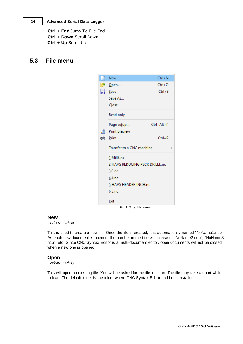**Ctrl + End** Jump To File End **Ctrl + Down** Scroll Down **Ctrl + Up** Scroll Up

## <span id="page-17-0"></span>**5.3 File menu**



**Fig.1. The file menu**

#### **New**

*Hotkey: Ctrl+N*

This is used to create a new file. Once the file is created, it is automatically named "NoName1.ncp". As each new document is opened, the number in the title will increase: "NoName2.ncp", "NoName3. ncp", etc. Since CNC Syntax Editor is a multi-document editor, open documents will not be closed when a new one is opened.

#### **Open**

*Hotkey: Ctrl+O*

This will open an existing file. You will be asked for the file location. The file may take a short while to load. The default folder is the folder where CNC Syntax Editor had been installed.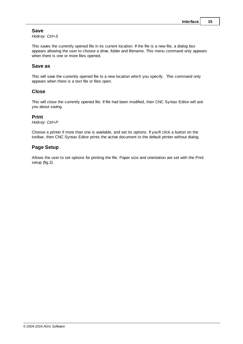#### **Save**

*Hotkey: Ctrl+S*

This saves the currently opened file in its current location. If the file is a new file, a dialog box appears allowing the user to choose a drive, folder and filename. This menu command only appears when there is one or more files opened.

#### **Save as**

This will save the currently opened file to a new location which you specify. This command only appears when there is a text file or files open.

#### **Close**

This will close the currently opened file. If file had been modified, then CNC Syntax Editor will ask you about saving.

#### **Print**

*Hotkey: Ctrl+P*

Choose a printer if more than one is available, and set its options. If you'll click a button on the toolbar, then CNC Syntax Editor prints the active document to the default printer without dialog

#### **Page Setup**

Allows the user to set options for printing the file. Paper size and orientation are set with the Print setup (fig.2).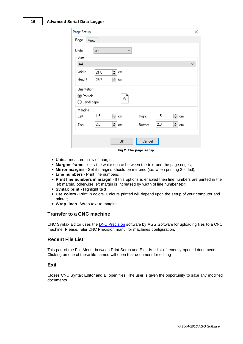| Page Setup                |                      |                 |               |     |              | ×            |
|---------------------------|----------------------|-----------------|---------------|-----|--------------|--------------|
| Page                      | View                 |                 |               |     |              |              |
| Units:<br>Size            | cm                   | $\checkmark$    |               |     |              |              |
| A4                        |                      |                 |               |     |              | $\checkmark$ |
| Width<br>Height           | 21,0<br>29,7         | 싂<br>cm<br>≜∥cm |               |     |              |              |
| Orientation<br>◉ Portrait | $\bigcirc$ Landscape | А               |               |     |              |              |
| Margins<br>Left           | 1,5                  | 싂<br>cm         | Right         | 1,5 | $\div$<br>cm |              |
| Top                       | 2,0                  | <u>≑</u> em     | <b>Bottom</b> | 2,0 | ≑∥cm         |              |
|                           |                      | ΟK              | Cancel        |     |              |              |

**Fig.2. The page setup**

- **Units** measure units of margins;
- **Margins frame** sets the white space between the text and the page edges;
- **Mirror margins** Set if margins should be mirrored (i.e. when printing 2-sided);
- **Line numbers** Print line numbers;
- **Print line numbers in margin** If this options is enabled then line numbers are printed in the left margin, otherwise left margin is increased by width of line number text;
- **Syntax print** Highlight text;
- **Use colors** Print in colors. Colours printed will depend upon the setup of your computer and printer;
- **Wrap lines** Wrap text to margins.

## **Transfer to a CNC machine**

CNC Syntax Editor uses the DNC [Precision](http://www.aggsoft.com/dnc-precision.htm) software by AGG Software for uploading files to a CNC machine. Please, refer DNC Precision manul for machines configuration.

#### **Recent File List**

This part of the File Menu, between Print Setup and Exit, is a list of recently opened documents. Clicking on one of these file names will open that document for editing

#### **Exit**

Closes CNC Syntax Editor and all open files. The user is given the opportunity to save any modified documents.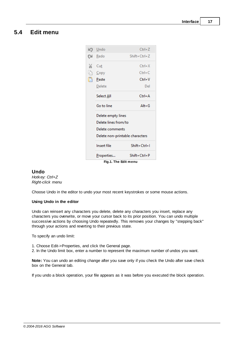## <span id="page-20-0"></span>**5.4 Edit menu**

|    | Fig.1. The Edit menu            |                |
|----|---------------------------------|----------------|
|    | Properties                      | $Shift+Ctrl+P$ |
|    | Insert file                     | Shift+Ctrl+1   |
|    | Delete non-printable characters |                |
|    | Delete comments                 |                |
|    | Delete lines from/to            |                |
|    | Delete empty lines              |                |
|    | Go to line                      | $Alt+G$        |
|    | Select <u>A</u> ll              | $Ctrl + A$     |
|    | Delete                          | Del            |
| n  | Paste                           | Ctrl+V         |
| Ġ. | Copy                            | $Ctrl + C$     |
| ¥. | Cut                             | $Ctrl+X$       |
|    | (ଆ <u>R</u> edo                 | $Shift+Ctrl+Z$ |
| ⊯ລ | Undo                            | $Ctrl+Z$       |
|    |                                 |                |

#### <span id="page-20-1"></span>**Undo**

*Hotkey: Ctrl+Z Right-click menu*

Choose Undo in the editor to undo your most recent keystrokes or some mouse actions.

#### **Using Undo in the editor**

Undo can reinsert any characters you delete, delete any characters you insert, replace any characters you overwrite, or move your cursor back to its prior position. You can undo multiple successive actions by choosing Undo repeatedly. This removes your changes by "stepping back" through your actions and reverting to their previous state.

To specify an undo limit:

- 1. Choose Edit->Properties, and click the General page.
- 2. In the Undo limit box, enter a number to represent the maximum number of undos you want.

**Note:** You can undo an editing change after you save only if you check the Undo after save check box on the General tab.

If you undo a block operation, your file appears as it was before you executed the block operation.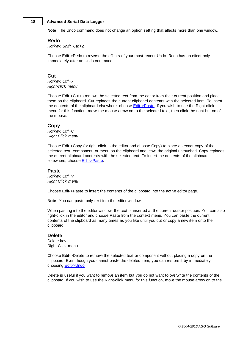**Note:** The Undo command does not change an option setting that affects more than one window.

#### **Redo**

*Hotkey: Shift+Ctrl+Z*

Choose Edit->Redo to reverse the effects of your most recent Undo. Redo has an effect only immediately after an Undo command.

#### **Cut**

*Hotkey: Ctrl+X Right-click menu*

Choose Edit->Cut to remove the selected text from the editor from their current position and place them on the clipboard. Cut replaces the current clipboard contents with the selected item. To insert the contents of the clipboard elsewhere, choose **[Edit->Paste](#page-21-0)**. If you wish to use the Right-click menu for this function, move the mouse arrow on to the selected text, then click the right button of the mouse.

#### **Copy**

*Hotkey: Ctrl+C Right Click menu*

Choose Edit->Copy (or right-click in the editor and choose Copy) to place an exact copy of the selected text, component, or menu on the clipboard and leave the original untouched. Copy replaces the current clipboard contents with the selected text. To insert the contents of the clipboard elsewhere, choose [Edit->Paste](#page-21-0).

#### <span id="page-21-0"></span>**Paste**

*Hotkey: Ctrl+V Right Click menu*

Choose Edit->Paste to insert the contents of the clipboard into the active editor page.

**Note:** You can paste only text into the editor window.

When pasting into the editor window, the text is inserted at the current cursor position. You can also right-click in the editor and choose Paste from the context menu. You can paste the current contents of the clipboard as many times as you like until you cut or copy a new item onto the clipboard.

#### **Delete**

Delete key. Right Click menu

Choose Edit->Delete to remove the selected text or component without placing a copy on the clipboard. Even though you cannot paste the deleted item, you can restore it by immediately choosing [Edit->Undo](#page-20-1).

Delete is useful if you want to remove an item but you do not want to overwrite the contents of the clipboard. If you wish to use the Right-click menu for this function, move the mouse arrow on to the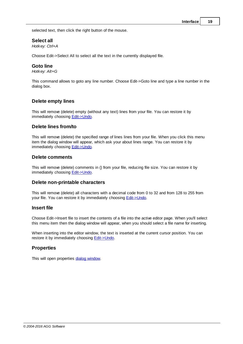selected text, then click the right button of the mouse.

#### **Select all**

*Hotkey: Ctrl+A*

hoose Edit->Select All to select all the text in the currently displayed file.

#### **Goto line**

*Hotkey: Alt+G*

This command allows to goto any line number. hoose Edit->Goto line and type a line number in the dialog box.

#### **Delete empty lines**

This will remove (delete) empty (without any text) lines from your file. You can restore it by immediately choosing [Edit->Undo](#page-20-1).

#### **Delete lines from/to**

This will remove (delete) the specified range of lines lines from your file. When you click this menu item the dialog window will appear, which ask your about lines range. You can restore it by immediately choosing [Edit->Undo](#page-20-1).

#### **Delete comments**

This will remove (delete) comments in () from your file, reducing file size. You can restore it by immediately choosing [Edit->Undo](#page-20-1).

#### **Delete non-printable characters**

This will remove (delete) all characters with a decimal code from 0 to 32 and from 128 to 255 from your file. You can restore it by immediately choosing **Edit->Undo**.

#### **Insert file**

Choose Edit->Insert file to insert the contents of a file into the active editor page. When you'll select this menu item then the dialog window will appear, when you should select a file name for inserting.

When inserting into the editor window, the text is inserted at the current cursor position. You can restore it by immediately choosing [Edit->Undo](#page-20-1).

#### **Properties**

This will open properties dialog [window](#page-12-0).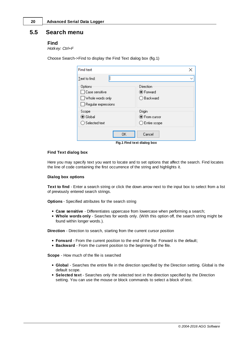## **5.5 Search menu**

#### <span id="page-23-1"></span>**Find**

*Hotkey: Ctrl+F*

| <b>Find text</b>                                                                     |                                                    |
|--------------------------------------------------------------------------------------|----------------------------------------------------|
| Text to find:                                                                        | ◡                                                  |
| Options<br>$\sqcap$ Case sensitive<br>Whole words only<br>$\Box$ Regular expressions | Direction<br><b>●</b> Forward<br>◯ Backward        |
| Scope<br>$\odot$ Global<br>$\bigcirc$ Selected text                                  | Origin<br>● From cursor<br>$\bigcirc$ Entire scope |
| OΚ                                                                                   | Cancel                                             |

**Fig.1 Find text dialog box**

#### **Find Text dialog box**

Here you may specify text you want to locate and to set options that affect the search. Find locates the line of code containing the first occurrence of the string and highlights it.

#### **Dialog box options**

**Text to find** - Enter a search string or click the down arrow next to the input box to select from a list of previously entered search strings.

**Options** - Specified attributes for the search string

- **Case sensitive** Differentiates uppercase from lowercase when performing a search;
- **Whole words only** Searches for words only. (With this option off, the search string might be found within longer words.).

**Direction** - Direction to search, starting from the current cursor position

- **Forward** From the current position to the end of the file. Forward is the default;
- **Backward** From the current position to the beginning of the file.

**Scope** - How much of the file is searched

- **Global** Searches the entire file in the direction specified by the Direction setting. Global is the default scope.
- **Selected text** Searches only the selected text in the direction specified by the Direction setting. You can use the mouse or block commands to select a block of text.

<span id="page-23-0"></span>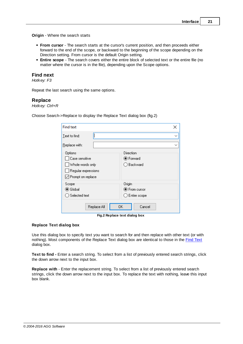**Origin** - Where the search starts

- **From cursor** The search starts at the cursor's current position, and then proceeds either forward to the end of the scope, or backward to the beginning of the scope depending on the Direction setting. From cursor is the default Origin setting.
- **Entire scope** The search covers either the entire block of selected text or the entire file (no matter where the cursor is in the file), depending upon the Scope options.

#### **Find next**

*Hotkey: F3*

Repeat the last search using the same options.

#### **Replace**

*Hotkey: Ctrl+R*

Choose Search->Replace to display the Replace Text dialog box (fig.2)

| <b>Find text</b>                                                                                     | X                                                 |
|------------------------------------------------------------------------------------------------------|---------------------------------------------------|
| Text to find:                                                                                        |                                                   |
| Replace with:                                                                                        |                                                   |
| Options<br>Case sensitive<br>Whole words only<br>Regular expressions<br>$\sqrt{ }$ Prompt on replace | Direction<br>● Forward<br>) Backward              |
| Scope<br>$\odot$ Global<br>) Selected text                                                           | Origin<br>● From cursor<br>$\supset$ Entire scope |
| Replace All<br>-<br>$\sim$ $\sim$ $\sim$ $\sim$                                                      | 0K<br>Cancel<br>.                                 |

**Fig.2 Replace text dialog box**

#### **Replace Text dialog box**

Use this dialog box to specify text you want to search for and then replace with other text (or with nothing). Most components of the Replace Text dialog box are identical to those in the Find [Text](#page-23-1) dialog box.

**Text to find -** Enter a search string. To select from a list of previously entered search strings, click the down arrow next to the input box.

**Replace with** - Enter the replacement string. To select from a list of previously entered search strings, click the down arrow next to the input box. To replace the text with nothing, leave this input box blank.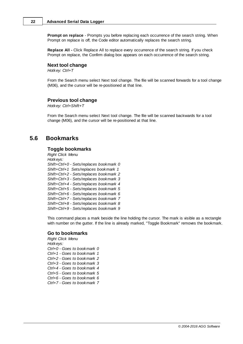**Prompt on replace** - Prompts you before replacing each occurrence of the search string. When Prompt on replace is off, the Code editor automatically replaces the search string.

**Replace All -** Click Replace All to replace every occurrence of the search string. If you check Prompt on replace, the Confirm dialog box appears on each occurrence of the search string.

#### **Next tool change**

*Hotkey: Ctrl+T*

From the Search menu select Next tool change. The file will be scanned forwards for a tool change (M06), and the cursor will be re-positioned at that line.

#### **Previous tool change**

*Hotkey: Ctrl+Shift+T*

From the Search menu select Next tool change. The file will be scanned backwards for a tool change (M06), and the cursor will be re-positioned at that line.

## <span id="page-25-0"></span>**5.6 Bookmarks**

#### **Toggle bookmarks**

*Right Click Menu Hotkeys: Shift+Ctrl+0 - Sets/replaces bookmark 0 Shift+Ctrl+1 Sets/replaces bookmark 1 Shift+Ctrl+2 - Sets/replaces bookmark 2 Shift+Ctrl+3 - Sets/replaces bookmark 3 Shift+Ctrl+4 - Sets/replaces bookmark 4 Shift+Ctrl+5 - Sets/replaces bookmark 5 Shift+Ctrl+6 - Sets/replaces bookmark 6 Shift+Ctrl+7 - Sets/replaces bookmark 7 Shift+Ctrl+8 - Sets/replaces bookmark 8 Shift+Ctrl+9 - Sets/replaces bookmark 9*

This command places a mark beside the line holding the cursor. The mark is visible as a rectangle with number on the gutter. If the line is already marked, "Toggle Bookmark" removes the bookmark.

#### **Go to bookmarks**

*Right Click Menu Hotkeys: Ctrl+0 - Goes to bookmark 0 Ctrl+1 - Goes to bookmark 1 Ctrl+2 - Goes to bookmark 2 Ctrl+3 - Goes to bookmark 3 Ctrl+4 - Goes to bookmark 4 Ctrl+5 - Goes to bookmark 5 Ctrl+6 - Goes to bookmark 6 Ctrl+7 - Goes to bookmark 7*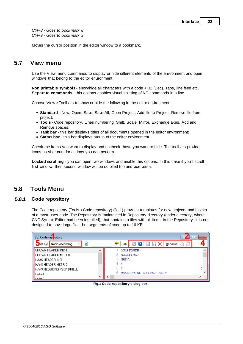*Ctrl+8 - Goes to bookmark 8 Ctrl+9 - Goes to bookmark 9*

Moves the cursor position in the editor window to a bookmark.

## <span id="page-26-0"></span>**5.7 View menu**

Use the View menu commands to display or hide different elements of the environment and open windows that belong to the editor environment.

**Non printable symbols** - show/hide all characters with a code < 32 (Dec). Tabs, line feed etc. **Separate commands** - this options enables visual splitting of NC commands in a line.

Choose View->Toolbars to show or hide the following in the editor environment:

- **Standard** New, Open, Save, Save All, Open Project, Add file to Project, Remove file from project;
- **Tools** Code repository, Lines numbering, Shift, Scale, Mirror, Exchange axes, Add and Remove spaces;
- **Task bar** this bar displays titles of all documents opened in the editor environment;
- **Status bar** this bar displays status of the editor environment.

Check the items you want to display and uncheck those you want to hide. The toolbars provide icons as shortcuts for actions you can perform.

**Locked scrolling** - you can open two windows and enable this options. In this case if you'll scroll first window, then second window will be scrolled too and vice versa.

## <span id="page-26-1"></span>**5.8 Tools Menu**

#### **5.8.1 Code repository**

The Code repository (Tools->Code repository) (fig.1) provides templates for new projects and blocks of a most uses code. The Repository is maintained in Repository directory (under directory, where CNC Syntax Editor had been installed), that contains a files with all items in the Repository. It is not designed to save large files, but segments of code up to 16 KB.



**Fig.1 Code repository dialog box**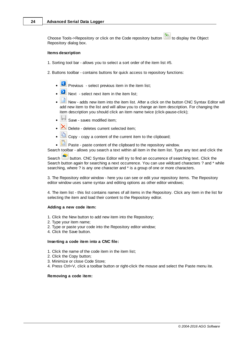Choose Tools->Repository or click on the Code repository button **the leads** to display the Object Repository dialog box.

#### **Items description**

- 1. Sorting tool bar allows you to select a sort order of the item list #5.
- 2. Buttons toolbar contains buttons for quick access to repository functions:
	- Previous select previous item in the item list;
	- $\bullet$   $\Box$  Next select next item in the item list;
	- New adds new item into the item list. After a click on the button CNC Syntax Editor will add new item to the list and will allow you to change an item description. For changing the item description you should click an item name twice (click-pause-click);
	- Save saves modified item;
	- $\mathbf{X}$  Delete deletes current selected item:
	- $\boxed{41}$  Copy copy a content of the current item to the clipboard;
	- **Paste paste content of the clipboard to the repository window.**

Search toolbar - allows you search a text within all item in the item list. Type any text and click the

Search **button.** CNC Syntax Editor will try to find an occurrence of searching text. Click the Search button again for searching a next occurrence. You can use wildcard characters ? and \* while searching, where ? is any one character and \* is a group of one or more characters.

3. The Repository editor window - here you can see or edit your repository items. The Repository editor window uses same syntax and editing options as other editor windows;

4. The item list - this list contains names of all items in the Repository. Click any item in the list for selecting the item and load their content to the Repository editor.

#### **Adding a new code item:**

- 1. Click the New button to add new item into the Repository;
- 2. Type your item name;
- 2. Type or paste your code into the Repository editor window;
- 4. Click the Save button.

#### **Inserting a code item into a CNC file:**

- 1. Click the name of the code item in the item list;
- 2. Click the Copy button;
- 3. Minimize or close Code Store;
- 4. Press Ctrl+V, click a toolbar button or right-click the mouse and select the Paste menu ite.

#### **Removing a code item:**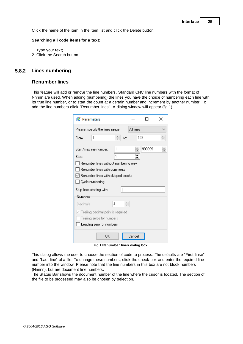Click the name of the item in the item list and click the Delete button.

#### **Searching all code items for a text:**

- 1. Type your text;
- 2. Click the Search button.

#### <span id="page-28-0"></span>**5.8.2 Lines numbering**

#### **Renumber lines**

This feature will add or remove the line numbers. Standard CNC line numbers with the format of Nnnnn are used. When adding (numbering) the lines you have the choice of numbering each line with its true line number, or to start the count at a certain number and increment by another number. To add the line numbers click "Renumber lines". A dialog window will appear (fig.1).

| Parameters                         |                                       |    |           |        | × |
|------------------------------------|---------------------------------------|----|-----------|--------|---|
|                                    | Please, specify the lines range       |    | All lines |        |   |
| From:                              | 1                                     | ۰. | to:       | 129    |   |
|                                    | Start/max line number:                | 1  | $\div$    | 999999 | ÷ |
| Step:                              |                                       | 1  | ٠<br>▼    |        |   |
|                                    | Renumber lines without numbering only |    |           |        |   |
|                                    | Renumber lines with comments          |    |           |        |   |
|                                    | liionider lines with skipped blocks∤  |    |           |        |   |
|                                    | Cycle numbering                       |    |           |        |   |
|                                    | Skip lines starting with:             | ſ  |           |        |   |
| Numbers                            |                                       |    |           |        |   |
| Decimals                           |                                       | 4  | ă.        |        |   |
| Trailing decimal point is required |                                       |    |           |        |   |
| Trailing zeros for numbers         |                                       |    |           |        |   |
| Leading zero for numbers           |                                       |    |           |        |   |
|                                    | ОK                                    |    | Cancel    |        |   |

**Fig.1 Renumber lines dialog box**

This dialog allows the user to choose the section of code to process. The defaults are "First linse" and "Last line" of a file. To change these numbers, click the check box and enter the required line number into the window. Please note that the line numbers in this box are not block numbers (Nnnnn), but are document line numbers.

The Status Bar shows the document number of the line where the cusor is located. The section of the file to be processed may also be chosen by selection.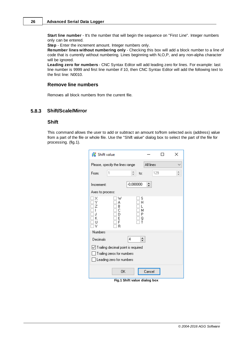**Start line number** - It's the number that will begin the sequence on "First Line". Integer numbers only can be entered.

**Step** - Enter the increment amount. Integer numbers only.

**Renumber lines without numbering only** - Checking this box will add a block number to a line of code that is currently without numbering. Lines beginning with N,O,P, and any non-alpha character will be ignored.

**Leading zero for numbers** - CNC Syntax Editor will add leading zero for lines. For example: last line number is 9999 and first line number if 10, then CNC Syntax Editor will add the following text to the first line: N0010.

#### **Remove line numbers**

Removes all block numbers from the current file.

#### <span id="page-29-0"></span>**5.8.3 Shift/Scale/Mirror**

#### <span id="page-29-1"></span>**Shift**

This command allows the user to add or subtract an amount to/from selected axis (address) value from a part of the file or whole file. Use the "Shift value" dialog box to select the part of the file for processing. (fig.1).

| Shift value                                                                                  |                             |           |  | × |
|----------------------------------------------------------------------------------------------|-----------------------------|-----------|--|---|
| Please, specify the lines range                                                              |                             | All lines |  |   |
| 1<br>From:                                                                                   | a.<br>to:                   | 129       |  | ÷ |
| Increment:                                                                                   | $-0.080000$                 | ٠<br>÷    |  |   |
| Axes to process:                                                                             |                             |           |  |   |
| ×<br>w<br>Υ<br>А<br>В<br>7<br>C<br>D<br>.l<br>F<br>κ<br>F<br>Н<br>V<br>R                     | s<br>Н<br>м<br>Ρ<br>Q<br>Т  |           |  |   |
| Numbers                                                                                      |                             |           |  |   |
| Decimals                                                                                     | $\left  \cdot \right $<br>4 |           |  |   |
| Trailing decimal point is required<br>Trailing zeros for numbers<br>Leading zero for numbers |                             |           |  |   |
| OΚ                                                                                           |                             | Cancel    |  |   |

**Fig.1 Shift value dialog box**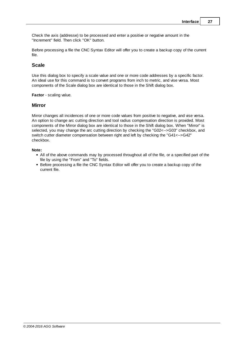Check the axis (addresse) to be processed and enter a positive or negative amount in the "Increment" field. Then click "OK" button.

Before processing a file the CNC Syntax Editor will offer you to create a backup copy of the current file.

#### **Scale**

Use this dialog box to specify a scale value and one or more code addresses by a specific factor. An ideal use for this command is to convert programs from inch to metric, and vise versa. Most components of the Scale dialog box are identical to those in the Shift dialog box.

**Factor** - scaling value.

#### **Mirror**

Mirror changes all incidences of one or more code values from positive to negative, and vise versa. An option to change arc cutting direction and tool radius compensation direction is provided. Most components of the Mirror dialog box are identical to those in the Shift dialog box. When "Mirror" is selected, you may change the arc cutting direction by checking the "G02<-->G03" checkbox, and switch cutter diameter compensation between right and left by checking the "G41<-->G42" checkbox.

#### **Note:**

- All of the above commands may by processed throughout all of the file, or a specified part of the file by using the "From" and "To" fields.
- Before processing a file the CNC Syntax Editor will offer you to create a backup copy of the current file.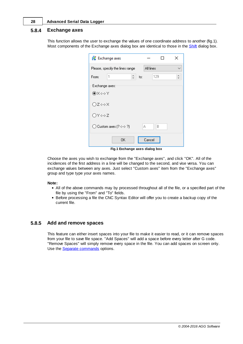#### <span id="page-31-0"></span>**5.8.4 Exchange axes**

This function allows the user to exchange the values of one coordinate address to another (fig.1). Most components of the Exchange axes dialog box are identical to those in the **[Shift](#page-29-1) dialog box.** 

| Exchange axes                     |        |           | × |
|-----------------------------------|--------|-----------|---|
| Please, specify the lines range   |        | All lines |   |
| ÷<br>1<br>From:                   | to:    | 129       |   |
| Exchange axes:                    |        |           |   |
| ◉×⇔≻Y                             |        |           |   |
| ∩z⇔×                              |        |           |   |
| OY⇔z                              |        |           |   |
| $\bigcirc$ Custom axes (? <--> ?) | А      | B         |   |
| OΚ                                | Cancel |           |   |

**Fig.1 Exchange axes dialog box**

Choose the axes you wish to exchange from the "Exchange axes", and click "OK". All of the incidences of the first address in a line will be changed to the second, and vise versa. You can exchange values between any axes. Just select "Custom axes" item from the "Exchange axes" group and type type your axes names.

#### **Note:**

- All of the above commands may by processed throughout all of the file, or a specified part of the file by using the "From" and "To" fields.
- Before processing a file the CNC Syntax Editor will offer you to create a backup copy of the current file.

#### <span id="page-31-1"></span>**5.8.5 Add and remove spaces**

This feature can either insert spaces into your file to make it easier to read, or it can remove spaces from your file to save file space. "Add Spaces" will add a space before every letter after G code. "Remove Spaces" will simply remove every space in the file. You can add spaces on screen only. Use the Separate [commands](#page-26-0) options.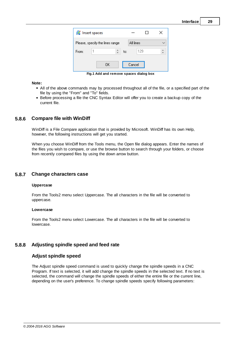

**Fig.1 Add and remove spaces dialog box**

#### **Note:**

- All of the above commands may by processed throughout all of the file, or a specified part of the file by using the "From" and "To" fields.
- Before processing a file the CNC Syntax Editor will offer you to create a backup copy of the current file.

#### <span id="page-32-0"></span>**5.8.6 Compare file with WinDiff**

WinDiff is a File Compare application that is provided by Microsoft. WinDiff has its own Help, however, the following instructions will get you started.

When you choose WinDiff from the Tools menu, the Open file dialog appears. Enter the names of the files you wish to compare, or use the browse button to search through your folders, or choose from recently compared files by using the down arrow button.

#### <span id="page-32-1"></span>**5.8.7 Change characters case**

#### **Uppercase**

From the Tools2 menu select Uppercase. The all characters in the file will be converted to uppercase.

#### **Lowercase**

From the Tools2 menu select Lowercase. The all characters in the file will be converted to lowercase.

#### <span id="page-32-2"></span>**5.8.8 Adjusting spindle speed and feed rate**

#### **Adjust spindle speed**

The Adjust spindle speed command is used to quickly change the spindle speeds in a CNC Program. If text is selected, it will add change the spindle speeds in the selected text. If no text is selected, the command will change the spindle speeds of either the entire file or the current line. depending on the user's preference. To change spindle speeds specify following parameters: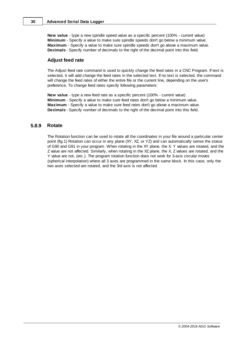**New value** - type a new spindle speed value as a specific percent (100% - current value) **Minimum** - Specify a value to make sure spindle speeds don't go below a minimum value. **Maximum** - Specify a value to make sure spindle speeds don't go above a maximum value. **Decimals** - Specify number of decimals to the right of the decimal point into this field.

#### **Adjust feed rate**

The Adjust feed rate command is used to quickly change the feed rates in a CNC Program. If text is selected, it will add change the feed rates in the selected text. If no text is selected, the command will change the feed rates of either the entire file or the current line, depending on the user's preference. To change feed rates specify following parameters:

**New value** - type a new feed rate as a specific percent (100% - current value) **Minimum** - Specify a value to make sure feed rates don't go below a minimum value. **Maximum** - Specify a value to make sure feed rates don't go above a maximum value. **Decimals** - Specify number of decimals to the right of the decimal point into this field.

#### <span id="page-33-0"></span>**5.8.9 Rotate**

The Rotation function can be used to rotate all the coordinates in your file around a particular center point (fig.1) Rotation can occur in any plane (XY, XZ, or YZ) and can automatically sense the status of G90 and G91 in your program. When rotating in the XY plane, the X, Y values are rotated, and the Z value are not affected. Similarly, when rotating in the XZ plane, the X, Z values are rotated, and the Y value are not, (etc.). The program rotation function does not work for 3-axis circular moves (spherical interpolation) where all 3 axes are programmed in the same block. In this case, only the two axes selected are rotated, and the 3rd axis is not affected.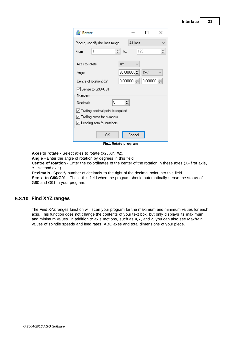| <b>Z</b> Rotate                           |          |              |          | × |
|-------------------------------------------|----------|--------------|----------|---|
| Please, specify the lines range           |          | All lines    |          |   |
| 1<br>From:                                | ÷<br>to: | 129          |          |   |
|                                           |          |              |          |   |
| Axes to rotate                            | XY       |              |          |   |
| Angle                                     |          | 90,000000(今) | CW       |   |
| Centre of rotation X,Y                    | 0,000000 | ≑            | 0,000000 |   |
| └ Sense to G90/G91                        |          |              |          |   |
|                                           |          |              |          |   |
| Numbers                                   |          |              |          |   |
| 5<br>Decimals                             | ▴        |              |          |   |
| $\vee$ Trailing decimal point is required |          |              |          |   |
|                                           |          |              |          |   |
| $\vee$ Trailing zeros for numbers         |          |              |          |   |
| $\vee$ Leading zero for numbers           |          |              |          |   |
|                                           |          |              |          |   |
| OK                                        |          | Cancel       |          |   |
|                                           |          |              |          |   |

**Fig.1 Rotate program**

**Axes to rotate** - Select axes to rotate (XY, XY, XZ).

**Angle** - Enter the angle of rotation by degrees in this field.

**Centre of rotation** - Enter the co-ordinates of the center of the rotation in these axes (X - first axis, Y - second axis).

**Decimals** - Specify number of decimals to the right of the decimal point into this field. **Sense to G90/G91** - Check this field when the program should automatically sense the status of G90 and G91 in your program.

### <span id="page-34-0"></span>**5.8.10 Find XYZ ranges**

The Find XYZ ranges function will scan your program for the maximum and minimum values for each axis. This function does not change the contents of your text box, but only displays its maximum and minimum values. In addition to axis motions, such as X,Y, and Z, you can also see Max/Min values of spindle speeds and feed rates, ABC axes and total dimensions of your piece.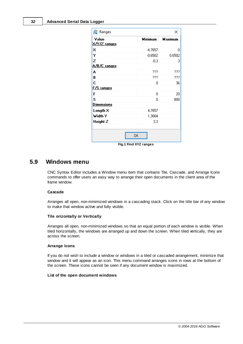|                | ×       |
|----------------|---------|
| <b>Minimum</b> | Maximum |
| $-4,7657$      | ۵       |
| $-0,6502$      | 0,6502  |
| $-0.3$         | 3       |
|                |         |
| ???            | ???     |
| ???            | ???     |
| n              | 36      |
|                |         |
| Ω              | 20      |
| Ω              | 800     |
|                |         |
| 4,7657         |         |
|                |         |
| 3,3            |         |
|                | 1,3004  |

**Fig.1 Find XYZ ranges**

## <span id="page-35-0"></span>**5.9 Windows menu**

CNC Syntax Editor includes a Window menu item that contains Tile, Cascade, and Arrange Icons commands to offer users an easy way to arrange their open documents in the client area of the frame window.

#### **Cascade**

Arranges all open, non-minimized windows in a cascading stack. Click on the title bar of any window to make that window active and fully visible.

#### **Tile orizontally or Vertically**

Arranges all open, non-minimized windows so that an equal portion of each window is visible. When tiled horizontally, the windows are arranged up and down the screen. When tiled vertically, they are across the screen.

#### **Arrange Icons**

If you do not wish to include a window or windows in a tiled or cascaded arrangement, minimize that window and it will appear as an icon. This menu command arranges icons in rows at the bottom of the screen. These icons cannot be seen if any document window is maximized.

#### **List of the open document windows**